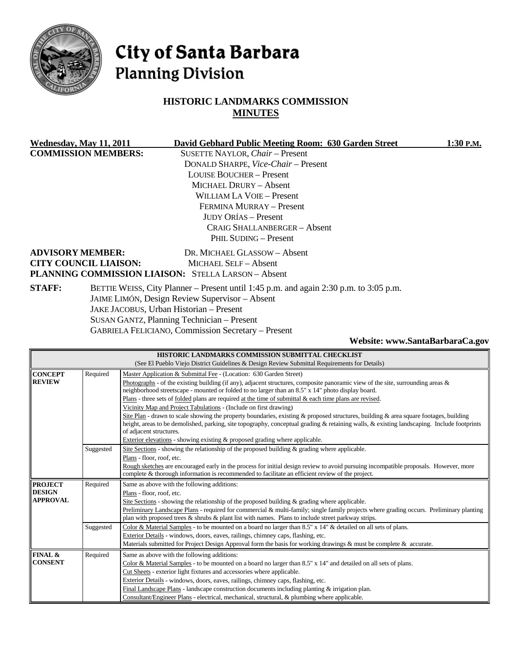

# City of Santa Barbara **Planning Division**

# **HISTORIC LANDMARKS COMMISSION MINUTES**

|                                                                                                        | Wednesday, May 11, 2011      | David Gebhard Public Meeting Room: 630 Garden Street       | 1:30 P.M. |
|--------------------------------------------------------------------------------------------------------|------------------------------|------------------------------------------------------------|-----------|
| <b>COMMISSION MEMBERS:</b>                                                                             |                              | SUSETTE NAYLOR, Chair - Present                            |           |
|                                                                                                        |                              | DONALD SHARPE, <i>Vice-Chair</i> – Present                 |           |
|                                                                                                        |                              | <b>LOUISE BOUCHER – Present</b>                            |           |
|                                                                                                        |                              | <b>MICHAEL DRURY - Absent</b>                              |           |
|                                                                                                        |                              | WILLIAM LA VOIE – Present                                  |           |
|                                                                                                        |                              | FERMINA MURRAY - Present                                   |           |
|                                                                                                        |                              | <b>JUDY ORÍAS – Present</b>                                |           |
|                                                                                                        |                              | <b>CRAIG SHALLANBERGER - Absent</b>                        |           |
|                                                                                                        |                              | PHIL SUDING - Present                                      |           |
|                                                                                                        | <b>ADVISORY MEMBER:</b>      | DR. MICHAEL GLASSOW - Absent                               |           |
|                                                                                                        | <b>CITY COUNCIL LIAISON:</b> | MICHAEL SELF - Absent                                      |           |
|                                                                                                        |                              | <b>PLANNING COMMISSION LIAISON: STELLA LARSON - Absent</b> |           |
| <b>STAFF:</b><br>BETTIE WEISS, City Planner – Present until 1:45 p.m. and again 2:30 p.m. to 3:05 p.m. |                              |                                                            |           |
|                                                                                                        |                              | JAIME LIMÓN, Design Review Supervisor - Absent             |           |
|                                                                                                        |                              | JAKE JACOBUS, Urban Historian - Present                    |           |
|                                                                                                        |                              | SUSAN GANTZ, Planning Technician - Present                 |           |
|                                                                                                        |                              | <b>GABRIELA FELICIANO, Commission Secretary - Present</b>  |           |

#### **Website: [www.SantaBarbaraCa.gov](http://www.santabarbaraca.gov/)**

|                         |           | HISTORIC LANDMARKS COMMISSION SUBMITTAL CHECKLIST                                                                                          |  |  |
|-------------------------|-----------|--------------------------------------------------------------------------------------------------------------------------------------------|--|--|
|                         |           | (See El Pueblo Viejo District Guidelines & Design Review Submittal Requirements for Details)                                               |  |  |
| <b>CONCEPT</b>          | Required  | Master Application & Submittal Fee - (Location: 630 Garden Street)                                                                         |  |  |
| <b>REVIEW</b>           |           | Photographs - of the existing building (if any), adjacent structures, composite panoramic view of the site, surrounding areas $\&$         |  |  |
|                         |           | neighborhood streetscape - mounted or folded to no larger than an 8.5" x 14" photo display board.                                          |  |  |
|                         |           | Plans - three sets of <u>folded</u> plans are required at the time of submittal & each time plans are revised.                             |  |  |
|                         |           | Vicinity Map and Project Tabulations - (Include on first drawing)                                                                          |  |  |
|                         |           | Site Plan - drawn to scale showing the property boundaries, existing & proposed structures, building & area square footages, building      |  |  |
|                         |           | height, areas to be demolished, parking, site topography, conceptual grading & retaining walls, & existing landscaping. Include footprints |  |  |
| of adjacent structures. |           |                                                                                                                                            |  |  |
|                         |           | Exterior elevations - showing existing & proposed grading where applicable.                                                                |  |  |
|                         | Suggested | Site Sections - showing the relationship of the proposed building $\&$ grading where applicable.                                           |  |  |
|                         |           | Plans - floor, roof, etc.                                                                                                                  |  |  |
|                         |           | Rough sketches are encouraged early in the process for initial design review to avoid pursuing incompatible proposals. However, more       |  |  |
|                         |           | complete & thorough information is recommended to facilitate an efficient review of the project.                                           |  |  |
| <b>PROJECT</b>          | Required  | Same as above with the following additions:                                                                                                |  |  |
| <b>DESIGN</b>           |           | Plans - floor, roof, etc.                                                                                                                  |  |  |
| <b>APPROVAL</b>         |           | Site Sections - showing the relationship of the proposed building $\&$ grading where applicable.                                           |  |  |
|                         |           | Preliminary Landscape Plans - required for commercial & multi-family; single family projects where grading occurs. Preliminary planting    |  |  |
|                         |           | plan with proposed trees $\&$ shrubs $\&$ plant list with names. Plans to include street parkway strips.                                   |  |  |
|                         | Suggested | Color & Material Samples - to be mounted on a board no larger than 8.5" x 14" & detailed on all sets of plans.                             |  |  |
|                         |           | Exterior Details - windows, doors, eaves, railings, chimney caps, flashing, etc.                                                           |  |  |
|                         |           | Materials submitted for Project Design Approval form the basis for working drawings $\&$ must be complete $\&$ accurate.                   |  |  |
| FINAL &                 | Required  | Same as above with the following additions:                                                                                                |  |  |
| <b>CONSENT</b>          |           | Color & Material Samples - to be mounted on a board no larger than 8.5" x 14" and detailed on all sets of plans.                           |  |  |
|                         |           | Cut Sheets - exterior light fixtures and accessories where applicable.                                                                     |  |  |
|                         |           | Exterior Details - windows, doors, eaves, railings, chimney caps, flashing, etc.                                                           |  |  |
|                         |           | Final Landscape Plans - landscape construction documents including planting $\&$ irrigation plan.                                          |  |  |
|                         |           | Consultant/Engineer Plans - electrical, mechanical, structural, & plumbing where applicable.                                               |  |  |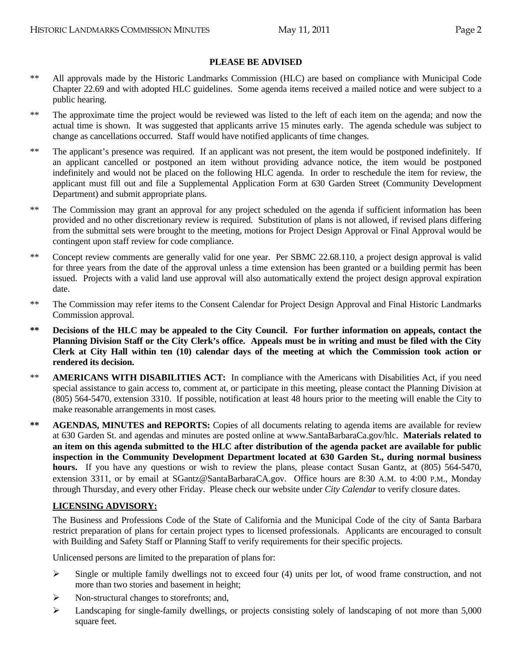### **PLEASE BE ADVISED**

- \*\* All approvals made by the Historic Landmarks Commission (HLC) are based on compliance with Municipal Code Chapter 22.69 and with adopted HLC guidelines. Some agenda items received a mailed notice and were subject to a public hearing.
- \*\* The approximate time the project would be reviewed was listed to the left of each item on the agenda; and now the actual time is shown. It was suggested that applicants arrive 15 minutes early. The agenda schedule was subject to change as cancellations occurred. Staff would have notified applicants of time changes.
- \*\* The applicant's presence was required. If an applicant was not present, the item would be postponed indefinitely. If an applicant cancelled or postponed an item without providing advance notice, the item would be postponed indefinitely and would not be placed on the following HLC agenda. In order to reschedule the item for review, the applicant must fill out and file a Supplemental Application Form at 630 Garden Street (Community Development Department) and submit appropriate plans.
- \*\* The Commission may grant an approval for any project scheduled on the agenda if sufficient information has been provided and no other discretionary review is required. Substitution of plans is not allowed, if revised plans differing from the submittal sets were brought to the meeting, motions for Project Design Approval or Final Approval would be contingent upon staff review for code compliance.
- \*\* Concept review comments are generally valid for one year. Per SBMC 22.68.110, a project design approval is valid for three years from the date of the approval unless a time extension has been granted or a building permit has been issued. Projects with a valid land use approval will also automatically extend the project design approval expiration date.
- \*\* The Commission may refer items to the Consent Calendar for Project Design Approval and Final Historic Landmarks Commission approval.
- **\*\* Decisions of the HLC may be appealed to the City Council. For further information on appeals, contact the Planning Division Staff or the City Clerk's office. Appeals must be in writing and must be filed with the City Clerk at City Hall within ten (10) calendar days of the meeting at which the Commission took action or rendered its decision.**
- \*\* **AMERICANS WITH DISABILITIES ACT:** In compliance with the Americans with Disabilities Act, if you need special assistance to gain access to, comment at, or participate in this meeting, please contact the Planning Division at (805) 564-5470, extension 3310. If possible, notification at least 48 hours prior to the meeting will enable the City to make reasonable arrangements in most cases.
- \*\* **AGENDAS, MINUTES and REPORTS:** Copies of all documents relating to agenda items are available for review at 630 Garden St. and agendas and minutes are posted online at [www.SantaBarbaraCa.gov](http://www.santabarbaraca.gov/)/hlc. **Materials related to an item on this agenda submitted to the HLC after distribution of the agenda packet are available for public inspection in the Community Development Department located at 630 Garden St., during normal business hours.** If you have any questions or wish to review the plans, please contact Susan Gantz, at (805) 564-5470, extension 3311, or by email at [SGantz@SantaBarbaraCA.gov](mailto:SGantz@SantaBarbaraCA.gov). Office hours are 8:30 A.M. to 4:00 P.M., Monday through Thursday, and every other Friday. Please check our website under *City Calendar* to verify closure dates.

### **LICENSING ADVISORY:**

The Business and Professions Code of the State of California and the Municipal Code of the city of Santa Barbara restrict preparation of plans for certain project types to licensed professionals. Applicants are encouraged to consult with Building and Safety Staff or Planning Staff to verify requirements for their specific projects.

Unlicensed persons are limited to the preparation of plans for:

- $\triangleright$  Single or multiple family dwellings not to exceed four (4) units per lot, of wood frame construction, and not more than two stories and basement in height;
- ¾ Non-structural changes to storefronts; and,
- ¾ Landscaping for single-family dwellings, or projects consisting solely of landscaping of not more than 5,000 square feet.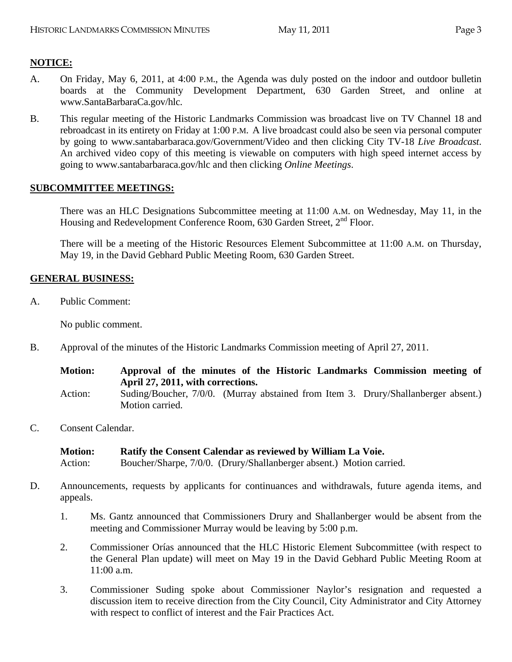### **NOTICE:**

- A. On Friday, May 6, 2011, at 4:00 P.M., the Agenda was duly posted on the indoor and outdoor bulletin boards at the Community Development Department, 630 Garden Street, and online at www.SantaBarbaraCa.gov/hlc.
- B. This regular meeting of the Historic Landmarks Commission was broadcast live on TV Channel 18 and rebroadcast in its entirety on Friday at 1:00 P.M. A live broadcast could also be seen via personal computer by going to [www.santabarbaraca.gov/Government/Video](http://www.santabarbaraca.gov/Government/Video) and then clicking City TV-18 *Live Broadcast*. An archived video copy of this meeting is viewable on computers with high speed internet access by going to [www.santabarbaraca.gov/h](http://www.santabarbaraca.gov/)lc and then clicking *Online Meetings*.

### **SUBCOMMITTEE MEETINGS:**

There was an HLC Designations Subcommittee meeting at 11:00 A.M. on Wednesday, May 11, in the Housing and Redevelopment Conference Room, 630 Garden Street, 2<sup>nd</sup> Floor.

There will be a meeting of the Historic Resources Element Subcommittee at 11:00 A.M. on Thursday, May 19, in the David Gebhard Public Meeting Room, 630 Garden Street.

### **GENERAL BUSINESS:**

A. Public Comment:

No public comment.

B. Approval of the minutes of the Historic Landmarks Commission meeting of April 27, 2011.

| <b>Motion:</b> | Approval of the minutes of the Historic Landmarks Commission meeting of<br>April 27, 2011, with corrections. |  |  |
|----------------|--------------------------------------------------------------------------------------------------------------|--|--|
| Action:        | Suding/Boucher, 7/0/0. (Murray abstained from Item 3. Drury/Shallanberger absent.)                           |  |  |
|                | Motion carried.                                                                                              |  |  |

C. Consent Calendar.

```
Motion: Ratify the Consent Calendar as reviewed by William La Voie. 
Action: Boucher/Sharpe, 7/0/0. (Drury/Shallanberger absent.) Motion carried.
```
- D. Announcements, requests by applicants for continuances and withdrawals, future agenda items, and appeals.
	- 1. Ms. Gantz announced that Commissioners Drury and Shallanberger would be absent from the meeting and Commissioner Murray would be leaving by 5:00 p.m.
	- 2. Commissioner Orías announced that the HLC Historic Element Subcommittee (with respect to the General Plan update) will meet on May 19 in the David Gebhard Public Meeting Room at 11:00 a.m.
	- 3. Commissioner Suding spoke about Commissioner Naylor's resignation and requested a discussion item to receive direction from the City Council, City Administrator and City Attorney with respect to conflict of interest and the Fair Practices Act.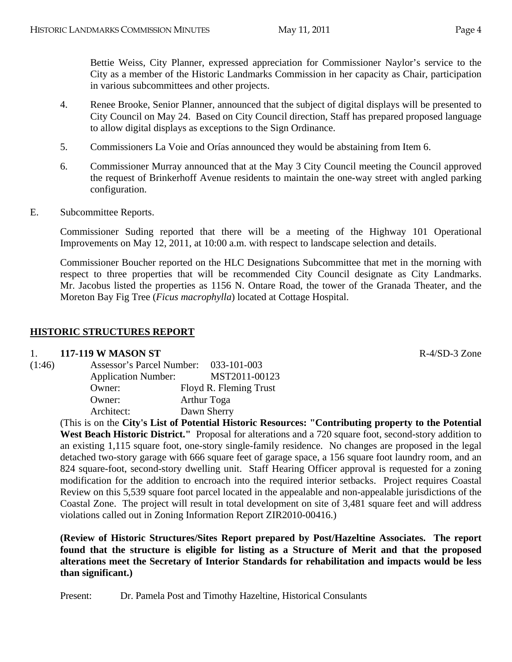Bettie Weiss, City Planner, expressed appreciation for Commissioner Naylor's service to the City as a member of the Historic Landmarks Commission in her capacity as Chair, participation in various subcommittees and other projects.

- 4. Renee Brooke, Senior Planner, announced that the subject of digital displays will be presented to City Council on May 24. Based on City Council direction, Staff has prepared proposed language to allow digital displays as exceptions to the Sign Ordinance.
- 5. Commissioners La Voie and Orías announced they would be abstaining from Item 6.
- 6. Commissioner Murray announced that at the May 3 City Council meeting the Council approved the request of Brinkerhoff Avenue residents to maintain the one-way street with angled parking configuration.
- E. Subcommittee Reports.

Commissioner Suding reported that there will be a meeting of the Highway 101 Operational Improvements on May 12, 2011, at 10:00 a.m. with respect to landscape selection and details.

Commissioner Boucher reported on the HLC Designations Subcommittee that met in the morning with respect to three properties that will be recommended City Council designate as City Landmarks. Mr. Jacobus listed the properties as 1156 N. Ontare Road, the tower of the Granada Theater, and the Moreton Bay Fig Tree (*Ficus macrophylla*) located at Cottage Hospital.

### **HISTORIC STRUCTURES REPORT**

### 1. **117-119 W MASON ST** R-4/SD-3 Zone

| (1:46) | Assessor's Parcel Number:  | 033-101-003            |
|--------|----------------------------|------------------------|
|        | <b>Application Number:</b> | MST2011-00123          |
|        | Owner:                     | Floyd R. Fleming Trust |
|        | Owner:                     | <b>Arthur Toga</b>     |
|        | Architect:                 | Dawn Sherry            |
|        |                            |                        |

(This is on the **City's List of Potential Historic Resources: "Contributing property to the Potential**  West Beach Historic District." Proposal for alterations and a 720 square foot, second-story addition to an existing 1,115 square foot, one-story single-family residence. No changes are proposed in the legal detached two-story garage with 666 square feet of garage space, a 156 square foot laundry room, and an 824 square-foot, second-story dwelling unit. Staff Hearing Officer approval is requested for a zoning modification for the addition to encroach into the required interior setbacks. Project requires Coastal Review on this 5,539 square foot parcel located in the appealable and non-appealable jurisdictions of the Coastal Zone. The project will result in total development on site of 3,481 square feet and will address violations called out in Zoning Information Report ZIR2010-00416.)

**(Review of Historic Structures/Sites Report prepared by Post/Hazeltine Associates. The report found that the structure is eligible for listing as a Structure of Merit and that the proposed alterations meet the Secretary of Interior Standards for rehabilitation and impacts would be less than significant.)** 

Present: Dr. Pamela Post and Timothy Hazeltine, Historical Consulants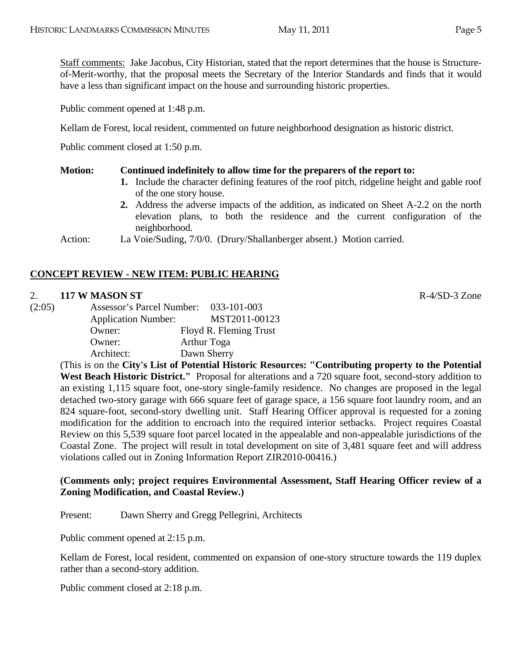Staff comments: Jake Jacobus, City Historian, stated that the report determines that the house is Structureof-Merit-worthy, that the proposal meets the Secretary of the Interior Standards and finds that it would have a less than significant impact on the house and surrounding historic properties.

Public comment opened at 1:48 p.m.

Kellam de Forest, local resident, commented on future neighborhood designation as historic district.

Public comment closed at 1:50 p.m.

### **Motion: Continued indefinitely to allow time for the preparers of the report to:**

- **1.** Include the character defining features of the roof pitch, ridgeline height and gable roof of the one story house.
- **2.** Address the adverse impacts of the addition, as indicated on Sheet A-2.2 on the north elevation plans, to both the residence and the current configuration of the neighborhood.

Action: La Voie/Suding, 7/0/0. (Drury/Shallanberger absent.) Motion carried.

# **CONCEPT REVIEW - NEW ITEM: PUBLIC HEARING**

### 2. **117 W MASON ST** R-4/SD-3 Zone

(2:05) Assessor's Parcel Number: 033-101-003 Application Number: MST2011-00123 Owner: Floyd R. Fleming Trust Owner: Arthur Toga Architect: Dawn Sherry

> (This is on the **City's List of Potential Historic Resources: "Contributing property to the Potential**  West Beach Historic District." Proposal for alterations and a 720 square foot, second-story addition to an existing 1,115 square foot, one-story single-family residence. No changes are proposed in the legal detached two-story garage with 666 square feet of garage space, a 156 square foot laundry room, and an 824 square-foot, second-story dwelling unit. Staff Hearing Officer approval is requested for a zoning modification for the addition to encroach into the required interior setbacks. Project requires Coastal Review on this 5,539 square foot parcel located in the appealable and non-appealable jurisdictions of the Coastal Zone. The project will result in total development on site of 3,481 square feet and will address violations called out in Zoning Information Report ZIR2010-00416.)

### **(Comments only; project requires Environmental Assessment, Staff Hearing Officer review of a Zoning Modification, and Coastal Review.)**

Present: Dawn Sherry and Gregg Pellegrini, Architects

Public comment opened at 2:15 p.m.

Kellam de Forest, local resident, commented on expansion of one-story structure towards the 119 duplex rather than a second-story addition.

Public comment closed at 2:18 p.m.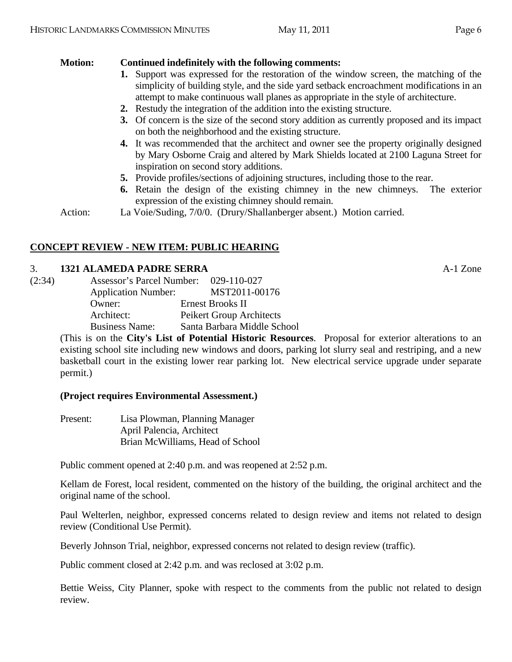### **Motion: Continued indefinitely with the following comments:**

- **1.** Support was expressed for the restoration of the window screen, the matching of the simplicity of building style, and the side yard setback encroachment modifications in an attempt to make continuous wall planes as appropriate in the style of architecture.
- **2.** Restudy the integration of the addition into the existing structure.
- **3.** Of concern is the size of the second story addition as currently proposed and its impact on both the neighborhood and the existing structure.
- **4.** It was recommended that the architect and owner see the property originally designed by Mary Osborne Craig and altered by Mark Shields located at 2100 Laguna Street for inspiration on second story additions.
- **5.** Provide profiles/sections of adjoining structures, including those to the rear.
- **6.** Retain the design of the existing chimney in the new chimneys. The exterior expression of the existing chimney should remain.

Action: La Voie/Suding, 7/0/0. (Drury/Shallanberger absent.) Motion carried.

### **CONCEPT REVIEW - NEW ITEM: PUBLIC HEARING**

### 3. **1321 ALAMEDA PADRE SERRA** A-1 Zone

| MST2011-00176                   |
|---------------------------------|
|                                 |
| <b>Peikert Group Architects</b> |
| Santa Barbara Middle School     |
|                                 |

(This is on the **City's List of Potential Historic Resources**. Proposal for exterior alterations to an existing school site including new windows and doors, parking lot slurry seal and restriping, and a new basketball court in the existing lower rear parking lot. New electrical service upgrade under separate permit.)

### **(Project requires Environmental Assessment.)**

| Present: | Lisa Plowman, Planning Manager   |
|----------|----------------------------------|
|          | April Palencia, Architect        |
|          | Brian McWilliams, Head of School |

Public comment opened at 2:40 p.m. and was reopened at 2:52 p.m.

Kellam de Forest, local resident, commented on the history of the building, the original architect and the original name of the school.

Paul Welterlen, neighbor, expressed concerns related to design review and items not related to design review (Conditional Use Permit).

Beverly Johnson Trial, neighbor, expressed concerns not related to design review (traffic).

Public comment closed at 2:42 p.m. and was reclosed at 3:02 p.m.

Bettie Weiss, City Planner, spoke with respect to the comments from the public not related to design review.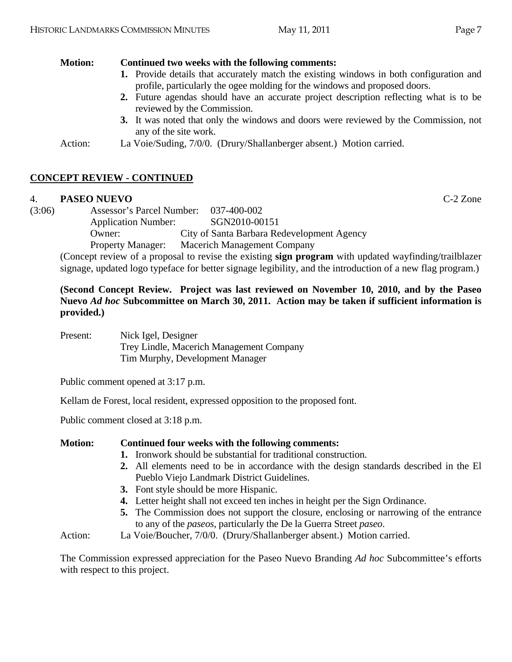### **Motion: Continued two weeks with the following comments:**

- **1.** Provide details that accurately match the existing windows in both configuration and profile, particularly the ogee molding for the windows and proposed doors.
- **2.** Future agendas should have an accurate project description reflecting what is to be reviewed by the Commission.
- **3.** It was noted that only the windows and doors were reviewed by the Commission, not any of the site work.
- Action: La Voie/Suding, 7/0/0. (Drury/Shallanberger absent.) Motion carried.

# **CONCEPT REVIEW - CONTINUED**

### 4. **PASEO NUEVO** C-2 Zone

(3:06) Assessor's Parcel Number: 037-400-002 Application Number: SGN2010-00151 Owner: City of Santa Barbara Redevelopment Agency Property Manager: Macerich Management Company

(Concept review of a proposal to revise the existing **sign program** with updated wayfinding/trailblazer signage, updated logo typeface for better signage legibility, and the introduction of a new flag program.)

**(Second Concept Review. Project was last reviewed on November 10, 2010, and by the Paseo Nuevo** *Ad hoc* **Subcommittee on March 30, 2011. Action may be taken if sufficient information is provided.)** 

Present: Nick Igel, Designer Trey Lindle, Macerich Management Company Tim Murphy, Development Manager

Public comment opened at 3:17 p.m.

Kellam de Forest, local resident, expressed opposition to the proposed font.

Public comment closed at 3:18 p.m.

### **Motion: Continued four weeks with the following comments:**

- **1.** Ironwork should be substantial for traditional construction.
- **2.** All elements need to be in accordance with the design standards described in the El Pueblo Viejo Landmark District Guidelines.
- **3.** Font style should be more Hispanic.
- **4.** Letter height shall not exceed ten inches in height per the Sign Ordinance.
- **5.** The Commission does not support the closure, enclosing or narrowing of the entrance to any of the *paseos*, particularly the De la Guerra Street *paseo*.
- Action: La Voie/Boucher, 7/0/0. (Drury/Shallanberger absent.) Motion carried.

The Commission expressed appreciation for the Paseo Nuevo Branding *Ad hoc* Subcommittee's efforts with respect to this project.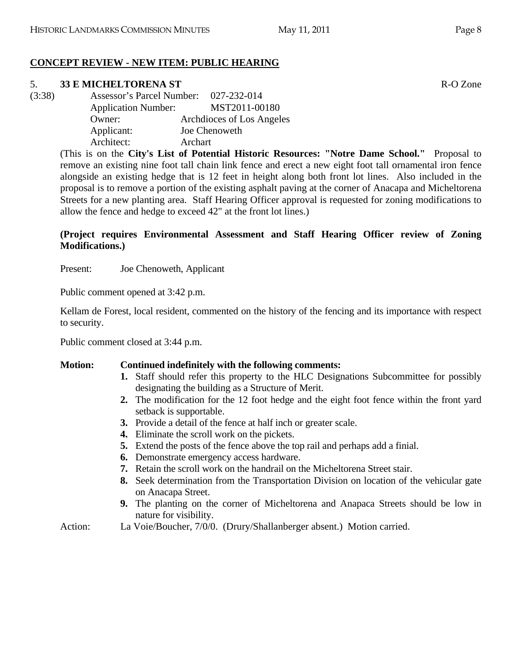# **CONCEPT REVIEW - NEW ITEM: PUBLIC HEARING**

# 5. **33 E MICHELTORENA ST** R-O Zone

(3:38) Assessor's Parcel Number: 027-232-014 Application Number: MST2011-00180 Owner: Archdioces of Los Angeles Applicant: Joe Chenoweth Architect: Archart

> (This is on the **City's List of Potential Historic Resources: "Notre Dame School."** Proposal to remove an existing nine foot tall chain link fence and erect a new eight foot tall ornamental iron fence alongside an existing hedge that is 12 feet in height along both front lot lines. Also included in the proposal is to remove a portion of the existing asphalt paving at the corner of Anacapa and Micheltorena Streets for a new planting area. Staff Hearing Officer approval is requested for zoning modifications to allow the fence and hedge to exceed 42" at the front lot lines.)

# **(Project requires Environmental Assessment and Staff Hearing Officer review of Zoning Modifications.)**

Present: Joe Chenoweth, Applicant

Public comment opened at 3:42 p.m.

Kellam de Forest, local resident, commented on the history of the fencing and its importance with respect to security.

Public comment closed at 3:44 p.m.

# **Motion: Continued indefinitely with the following comments:**

- **1.** Staff should refer this property to the HLC Designations Subcommittee for possibly designating the building as a Structure of Merit.
- **2.** The modification for the 12 foot hedge and the eight foot fence within the front yard setback is supportable.
- **3.** Provide a detail of the fence at half inch or greater scale.
- **4.** Eliminate the scroll work on the pickets.
- **5.** Extend the posts of the fence above the top rail and perhaps add a finial.
- **6.** Demonstrate emergency access hardware.
- **7.** Retain the scroll work on the handrail on the Micheltorena Street stair.
- **8.** Seek determination from the Transportation Division on location of the vehicular gate on Anacapa Street.
- **9.** The planting on the corner of Micheltorena and Anapaca Streets should be low in nature for visibility.
- Action: La Voie/Boucher, 7/0/0. (Drury/Shallanberger absent.) Motion carried.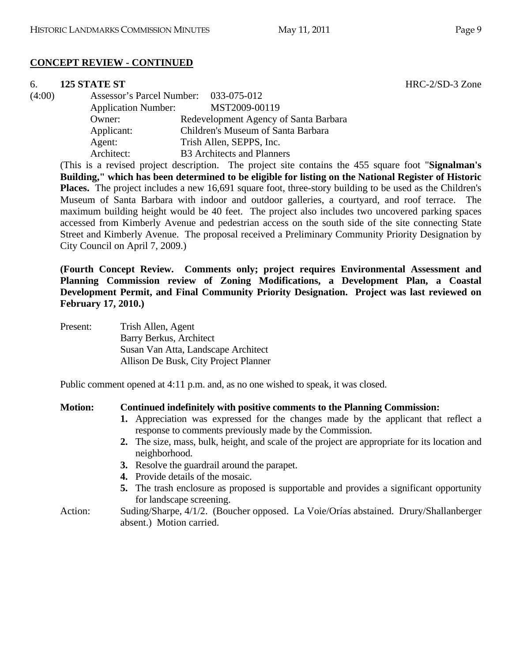### **CONCEPT REVIEW - CONTINUED**

### 6. **125 STATE ST** HRC-2/SD-3 Zone

(4:00) Assessor's Parcel Number: 033-075-012 Application Number: MST2009-00119 Owner: Redevelopment Agency of Santa Barbara Applicant: Children's Museum of Santa Barbara Agent: Trish Allen, SEPPS, Inc. Architect: B3 Architects and Planners

(This is a revised project description. The project site contains the 455 square foot "**Signalman's Building," which has been determined to be eligible for listing on the National Register of Historic Places.** The project includes a new 16,691 square foot, three-story building to be used as the Children's Museum of Santa Barbara with indoor and outdoor galleries, a courtyard, and roof terrace. The maximum building height would be 40 feet. The project also includes two uncovered parking spaces accessed from Kimberly Avenue and pedestrian access on the south side of the site connecting State Street and Kimberly Avenue. The proposal received a Preliminary Community Priority Designation by City Council on April 7, 2009.)

**(Fourth Concept Review. Comments only; project requires Environmental Assessment and Planning Commission review of Zoning Modifications, a Development Plan, a Coastal Development Permit, and Final Community Priority Designation. Project was last reviewed on February 17, 2010.)** 

Present: Trish Allen, Agent Barry Berkus, Architect Susan Van Atta, Landscape Architect Allison De Busk, City Project Planner

Public comment opened at 4:11 p.m. and, as no one wished to speak, it was closed.

### **Motion: Continued indefinitely with positive comments to the Planning Commission:**

- **1.** Appreciation was expressed for the changes made by the applicant that reflect a response to comments previously made by the Commission.
- **2.** The size, mass, bulk, height, and scale of the project are appropriate for its location and neighborhood.
- **3.** Resolve the guardrail around the parapet.
- **4.** Provide details of the mosaic.
- **5.** The trash enclosure as proposed is supportable and provides a significant opportunity for landscape screening.
- Action: Suding/Sharpe, 4/1/2. (Boucher opposed. La Voie/Orías abstained. Drury/Shallanberger absent.) Motion carried.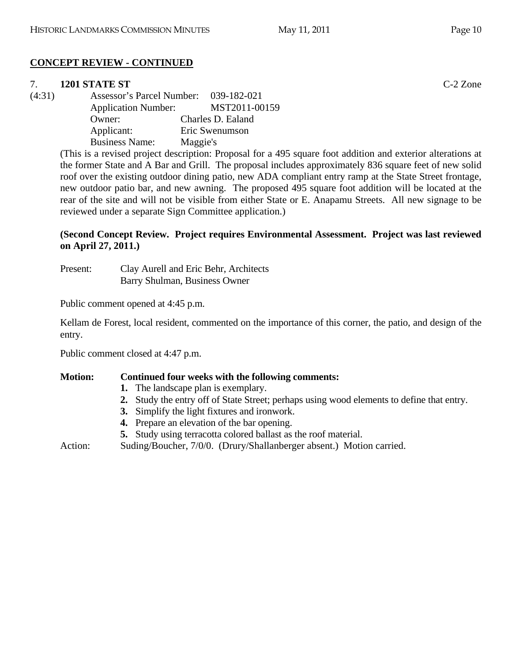# **CONCEPT REVIEW - CONTINUED**

# 7. **1201 STATE ST** C-2 Zone

(4:31) Assessor's Parcel Number: 039-182-021 Application Number: MST2011-00159 Owner: Charles D. Ealand Applicant: Eric Swenumson Business Name: Maggie's

(This is a revised project description: Proposal for a 495 square foot addition and exterior alterations at the former State and A Bar and Grill. The proposal includes approximately 836 square feet of new solid roof over the existing outdoor dining patio, new ADA compliant entry ramp at the State Street frontage, new outdoor patio bar, and new awning. The proposed 495 square foot addition will be located at the rear of the site and will not be visible from either State or E. Anapamu Streets. All new signage to be reviewed under a separate Sign Committee application.)

# **(Second Concept Review. Project requires Environmental Assessment. Project was last reviewed on April 27, 2011.)**

Present: Clay Aurell and Eric Behr, Architects Barry Shulman, Business Owner

Public comment opened at 4:45 p.m.

Kellam de Forest, local resident, commented on the importance of this corner, the patio, and design of the entry.

Public comment closed at 4:47 p.m.

# **Motion: Continued four weeks with the following comments:**

- **1.** The landscape plan is exemplary.
- **2.** Study the entry off of State Street; perhaps using wood elements to define that entry.
- **3.** Simplify the light fixtures and ironwork.
- **4.** Prepare an elevation of the bar opening.
- **5.** Study using terracotta colored ballast as the roof material.
- Action: Suding/Boucher, 7/0/0. (Drury/Shallanberger absent.) Motion carried.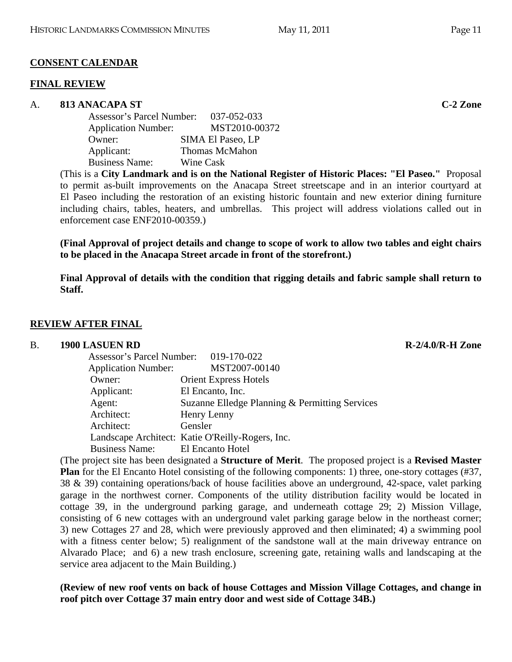# **CONSENT CALENDAR**

### **FINAL REVIEW**

### A. **813 ANACAPA ST C-2 Zone**

| Assessor's Parcel Number:  | 037-052-033           |
|----------------------------|-----------------------|
| <b>Application Number:</b> | MST2010-00372         |
| Owner:                     | SIMA El Paseo, LP     |
| Applicant:                 | <b>Thomas McMahon</b> |
| <b>Business Name:</b>      | Wine Cask             |

(This is a **City Landmark and is on the National Register of Historic Places: "El Paseo."** Proposal to permit as-built improvements on the Anacapa Street streetscape and in an interior courtyard at El Paseo including the restoration of an existing historic fountain and new exterior dining furniture including chairs, tables, heaters, and umbrellas. This project will address violations called out in enforcement case ENF2010-00359.)

**(Final Approval of project details and change to scope of work to allow two tables and eight chairs to be placed in the Anacapa Street arcade in front of the storefront.)** 

**Final Approval of details with the condition that rigging details and fabric sample shall return to Staff.** 

# **REVIEW AFTER FINAL**

### B. **1900 LASUEN RD R-2/4.0/R-H Zone R-2/4.0/R-H Zone**

| Assessor's Parcel Number: 019-170-022 |                                                  |
|---------------------------------------|--------------------------------------------------|
| <b>Application Number:</b>            | MST2007-00140                                    |
| Owner:                                | <b>Orient Express Hotels</b>                     |
| Applicant:                            | El Encanto, Inc.                                 |
| Agent:                                | Suzanne Elledge Planning & Permitting Services   |
| Architect:                            | Henry Lenny                                      |
| Architect:                            | Gensler                                          |
|                                       | Landscape Architect: Katie O'Reilly-Rogers, Inc. |
| <b>Business Name:</b>                 | El Encanto Hotel                                 |

(The project site has been designated a **Structure of Merit**. The proposed project is a **Revised Master Plan** for the El Encanto Hotel consisting of the following components: 1) three, one-story cottages (#37, 38 & 39) containing operations/back of house facilities above an underground, 42-space, valet parking garage in the northwest corner. Components of the utility distribution facility would be located in cottage 39, in the underground parking garage, and underneath cottage 29; 2) Mission Village, consisting of 6 new cottages with an underground valet parking garage below in the northeast corner; 3) new Cottages 27 and 28, which were previously approved and then eliminated; 4) a swimming pool with a fitness center below; 5) realignment of the sandstone wall at the main driveway entrance on Alvarado Place; and 6) a new trash enclosure, screening gate, retaining walls and landscaping at the service area adjacent to the Main Building.)

**(Review of new roof vents on back of house Cottages and Mission Village Cottages, and change in roof pitch over Cottage 37 main entry door and west side of Cottage 34B.)**